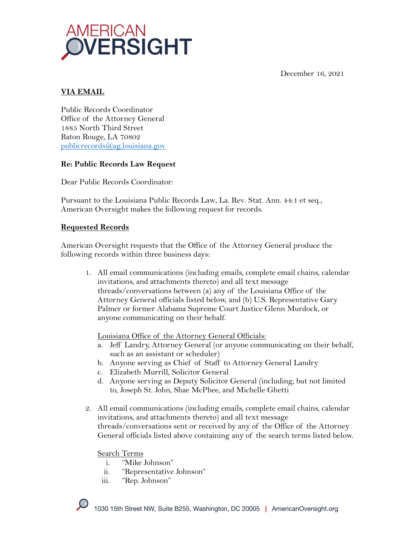December 16, 2021



# **VIA EMAIL**

Public Records Coordinator Office of the Attorney General 1885 North Third Street Baton Rouge, LA 70802 publicrecords@ag.louisiana.gov

# **Re: Public Records Law Request**

Dear Public Records Coordinator:

Pursuant to the Louisiana Public Records Law, La. Rev. Stat. Ann. 44:1 et seq., American Oversight makes the following request for records.

## **Requested Records**

American Oversight requests that the Office of the Attorney General produce the following records within three business days:

1. All email communications (including emails, complete email chains, calendar invitations, and attachments thereto) and all text message threads/conversations between (a) any of the Louisiana Office of the Attorney General officials listed below, and (b) U.S. Representative Gary Palmer or former Alabama Supreme Court Justice Glenn Murdock, or anyone communicating on their behalf.

Louisiana Office of the Attorney General Officials:

- a. Jeff Landry, Attorney General (or anyone communicating on their behalf, such as an assistant or scheduler)
- b. Anyone serving as Chief of Staff to Attorney General Landry
- c. Elizabeth Murrill, Solicitor General
- d. Anyone serving as Deputy Solicitor General (including, but not limited to, Joseph St. John, Shae McPhee, and Michelle Ghetti
- 2. All email communications (including emails, complete email chains, calendar invitations, and attachments thereto) and all text message threads/conversations sent or received by any of the Office of the Attorney General officials listed above containing any of the search terms listed below.

Search Terms

- i. "Mike Johnson"
- ii. "Representative Johnson"
- iii. "Rep. Johnson"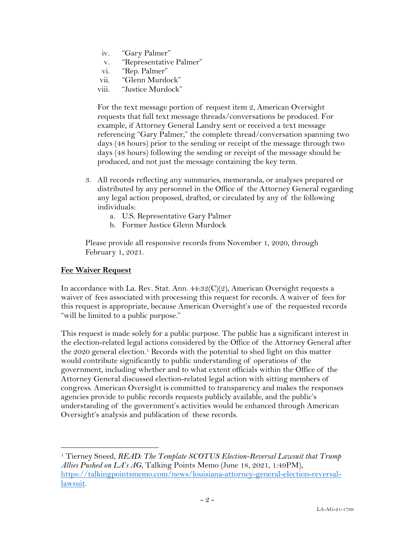- iv. "Gary Palmer"
- v. "Representative Palmer"
- vi. "Rep. Palmer"
- vii. "Glenn Murdock"
- viii. "Justice Murdock"

For the text message portion of request item 2, American Oversight requests that full text message threads/conversations be produced. For example, if Attorney General Landry sent or received a text message referencing "Gary Palmer," the complete thread/conversation spanning two days (48 hours) prior to the sending or receipt of the message through two days (48 hours) following the sending or receipt of the message should be produced, and not just the message containing the key term.

- 3. All records reflecting any summaries, memoranda, or analyses prepared or distributed by any personnel in the Office of the Attorney General regarding any legal action proposed, drafted, or circulated by any of the following individuals:
	- a. U.S. Representative Gary Palmer
	- b. Former Justice Glenn Murdock

Please provide all responsive records from November 1, 2020, through February 1, 2021.

#### **Fee Waiver Request**

In accordance with La. Rev. Stat. Ann. 44:32(C)(2), American Oversight requests a waiver of fees associated with processing this request for records. A waiver of fees for this request is appropriate, because American Oversight's use of the requested records "will be limited to a public purpose."

This request is made solely for a public purpose. The public has a significant interest in the election-related legal actions considered by the Office of the Attorney General after the  $2020$  general election.<sup>1</sup> Records with the potential to shed light on this matter would contribute significantly to public understanding of operations of the government, including whether and to what extent officials within the Office of the Attorney General discussed election-related legal action with sitting members of congress. American Oversight is committed to transparency and makes the responses agencies provide to public records requests publicly available, and the public's understanding of the government's activities would be enhanced through American Oversight's analysis and publication of these records.

<sup>1</sup> Tierney Sneed, *READ: The Template SCOTUS Election-Reversal Lawsuit that Trump Allies Pushed on LA's AG*, Talking Points Memo (June 18, 2021, 1:49PM), https://talkingpointsmemo.com/news/louisiana-attorney-general-election-reversallawsuit.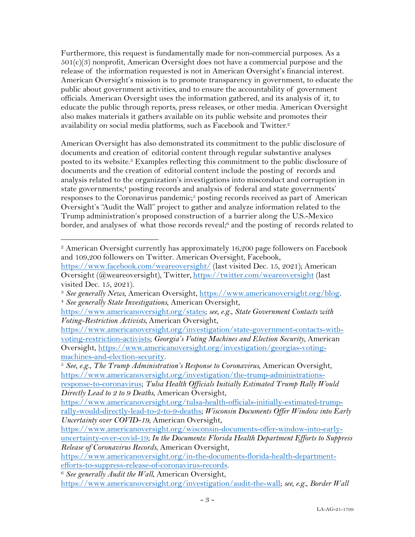Furthermore, this request is fundamentally made for non-commercial purposes. As a  $501(c)(3)$  nonprofit, American Oversight does not have a commercial purpose and the release of the information requested is not in American Oversight's financial interest. American Oversight's mission is to promote transparency in government, to educate the public about government activities, and to ensure the accountability of government officials. American Oversight uses the information gathered, and its analysis of it, to educate the public through reports, press releases, or other media. American Oversight also makes materials it gathers available on its public website and promotes their availability on social media platforms, such as Facebook and Twitter.<sup>2</sup>

American Oversight has also demonstrated its commitment to the public disclosure of documents and creation of editorial content through regular substantive analyses posted to its website. <sup>3</sup> Examples reflecting this commitment to the public disclosure of documents and the creation of editorial content include the posting of records and analysis related to the organization's investigations into misconduct and corruption in state governments; <sup>4</sup> posting records and analysis of federal and state governments' responses to the Coronavirus pandemic;<sup>5</sup> posting records received as part of American Oversight's "Audit the Wall" project to gather and analyze information related to the Trump administration's proposed construction of a barrier along the U.S.-Mexico border, and analyses of what those records reveal;<sup>6</sup> and the posting of records related to

<sup>2</sup> American Oversight currently has approximately 16,200 page followers on Facebook and 109,200 followers on Twitter. American Oversight, Facebook,

https://www.facebook.com/weareoversight/ (last visited Dec. 15, 2021); American Oversight (@weareoversight), Twitter, https://twitter.com/weareoversight (last visited Dec. 15, 2021).

<sup>3</sup> *See generally News*, American Oversight, https://www.americanoversight.org/blog. 4 *See generally State Investigations*, American Oversight,

https://www.americanoversight.org/states; *see, e.g.*, *State Government Contacts with Voting-Restriction Activists,* American Oversight,

https://www.americanoversight.org/investigation/state-government-contacts-withvoting-restriction-activists; *Georgia's Voting Machines and Election Security*, American Oversight, https://www.americanoversight.org/investigation/georgias-voting-

machines-and-election-security. 5 *See, e.g.*, *The Trump Administration's Response to Coronavirus*, American Oversight, https://www.americanoversight.org/investigation/the-trump-administrationsresponse-to-coronavirus; *Tulsa Health Officials Initially Estimated Trump Rally Would Directly Lead to 2 to 9 Deaths*, American Oversight,

https://www.americanoversight.org/tulsa-health-officials-initially-estimated-trumprally-would-directly-lead-to-2-to-9-deaths; *Wisconsin Documents Offer Window into Early Uncertainty over COVID-19*, American Oversight,

https://www.americanoversight.org/wisconsin-documents-offer-window-into-earlyuncertainty-over-covid-19; *In the Documents: Florida Health Department Efforts to Suppress Release of Coronavirus Records*, American Oversight,

https://www.americanoversight.org/in-the-documents-florida-health-departmentefforts-to-suppress-release-of-coronavirus-records. 6 *See generally Audit the Wall*, American Oversight,

https://www.americanoversight.org/investigation/audit-the-wall; *see, e.g.*, *Border Wall*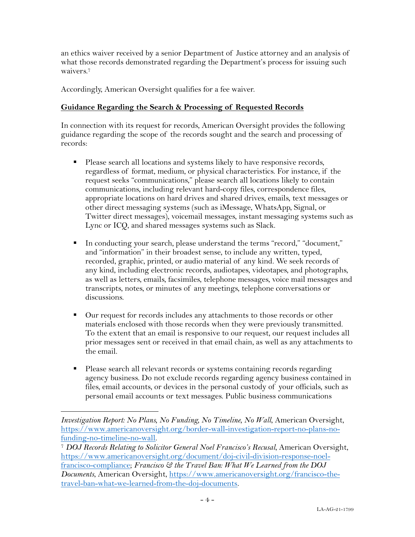an ethics waiver received by a senior Department of Justice attorney and an analysis of what those records demonstrated regarding the Department's process for issuing such waivers.7

Accordingly, American Oversight qualifies for a fee waiver.

### **Guidance Regarding the Search & Processing of Requested Records**

In connection with its request for records, American Oversight provides the following guidance regarding the scope of the records sought and the search and processing of records:

- Please search all locations and systems likely to have responsive records, regardless of format, medium, or physical characteristics. For instance, if the request seeks "communications," please search all locations likely to contain communications, including relevant hard-copy files, correspondence files, appropriate locations on hard drives and shared drives, emails, text messages or other direct messaging systems (such as iMessage, WhatsApp, Signal, or Twitter direct messages), voicemail messages, instant messaging systems such as Lync or ICQ, and shared messages systems such as Slack.
- § In conducting your search, please understand the terms "record," "document," and "information" in their broadest sense, to include any written, typed, recorded, graphic, printed, or audio material of any kind. We seek records of any kind, including electronic records, audiotapes, videotapes, and photographs, as well as letters, emails, facsimiles, telephone messages, voice mail messages and transcripts, notes, or minutes of any meetings, telephone conversations or discussions.
- Our request for records includes any attachments to those records or other materials enclosed with those records when they were previously transmitted. To the extent that an email is responsive to our request, our request includes all prior messages sent or received in that email chain, as well as any attachments to the email.
- Please search all relevant records or systems containing records regarding agency business. Do not exclude records regarding agency business contained in files, email accounts, or devices in the personal custody of your officials, such as personal email accounts or text messages. Public business communications

*Investigation Report: No Plans, No Funding, No Timeline, No Wall*, American Oversight, https://www.americanoversight.org/border-wall-investigation-report-no-plans-nofunding-no-timeline-no-wall. 7 *DOJ Records Relating to Solicitor General Noel Francisco's Recusal*, American Oversight,

https://www.americanoversight.org/document/doj-civil-division-response-noelfrancisco-compliance; *Francisco & the Travel Ban: What We Learned from the DOJ Documents*, American Oversight, https://www.americanoversight.org/francisco-thetravel-ban-what-we-learned-from-the-doj-documents.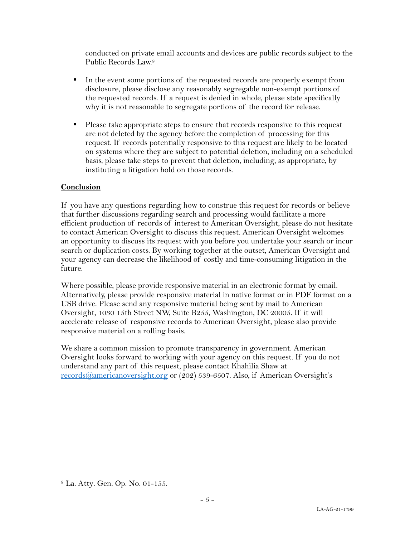conducted on private email accounts and devices are public records subject to the Public Records Law.8

- § In the event some portions of the requested records are properly exempt from disclosure, please disclose any reasonably segregable non-exempt portions of the requested records. If a request is denied in whole, please state specifically why it is not reasonable to segregate portions of the record for release.
- § Please take appropriate steps to ensure that records responsive to this request are not deleted by the agency before the completion of processing for this request. If records potentially responsive to this request are likely to be located on systems where they are subject to potential deletion, including on a scheduled basis, please take steps to prevent that deletion, including, as appropriate, by instituting a litigation hold on those records.

## **Conclusion**

If you have any questions regarding how to construe this request for records or believe that further discussions regarding search and processing would facilitate a more efficient production of records of interest to American Oversight, please do not hesitate to contact American Oversight to discuss this request. American Oversight welcomes an opportunity to discuss its request with you before you undertake your search or incur search or duplication costs. By working together at the outset, American Oversight and your agency can decrease the likelihood of costly and time-consuming litigation in the future.

Where possible, please provide responsive material in an electronic format by email. Alternatively, please provide responsive material in native format or in PDF format on a USB drive. Please send any responsive material being sent by mail to American Oversight, 1030 15th Street NW, Suite B255, Washington, DC 20005. If it will accelerate release of responsive records to American Oversight, please also provide responsive material on a rolling basis.

We share a common mission to promote transparency in government. American Oversight looks forward to working with your agency on this request. If you do not understand any part of this request, please contact Khahilia Shaw at records@americanoversight.org or (202) 539-6507. Also, if American Oversight's

<sup>8</sup> La. Atty. Gen. Op. No. 01-155.